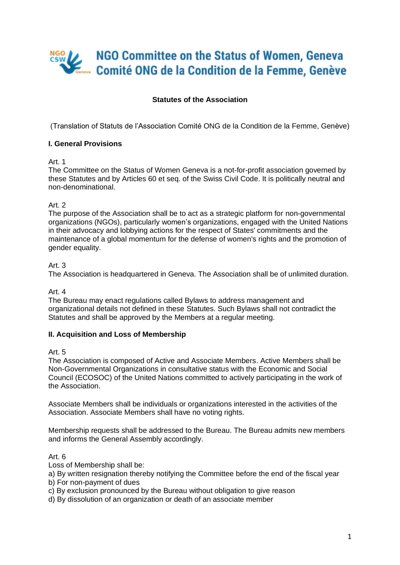# NGO Committee on the Status of Women, Geneva Comité ONG de la Condition de la Femme, Genève

# **Statutes of the Association**

(Translation of Statuts de l'Association Comité ONG de la Condition de la Femme, Genève)

# **I. General Provisions**

# Art. 1

The Committee on the Status of Women Geneva is a not-for-profit association governed by these Statutes and by Articles 60 et seq. of the Swiss Civil Code. It is politically neutral and non-denominational.

# Art. 2

The purpose of the Association shall be to act as a strategic platform for non-governmental organizations (NGOs), particularly women's organizations, engaged with the United Nations in their advocacy and lobbying actions for the respect of States' commitments and the maintenance of a global momentum for the defense of women's rights and the promotion of gender equality.

#### Art. 3

The Association is headquartered in Geneva. The Association shall be of unlimited duration.

#### Art. 4

The Bureau may enact regulations called Bylaws to address management and organizational details not defined in these Statutes. Such Bylaws shall not contradict the Statutes and shall be approved by the Members at a regular meeting.

# **II. Acquisition and Loss of Membership**

#### Art. 5

The Association is composed of Active and Associate Members. Active Members shall be Non-Governmental Organizations in consultative status with the Economic and Social Council (ECOSOC) of the United Nations committed to actively participating in the work of the Association.

Associate Members shall be individuals or organizations interested in the activities of the Association. Associate Members shall have no voting rights.

Membership requests shall be addressed to the Bureau. The Bureau admits new members and informs the General Assembly accordingly.

# Art. 6

Loss of Membership shall be:

a) By written resignation thereby notifying the Committee before the end of the fiscal year

- b) For non-payment of dues
- c) By exclusion pronounced by the Bureau without obligation to give reason
- d) By dissolution of an organization or death of an associate member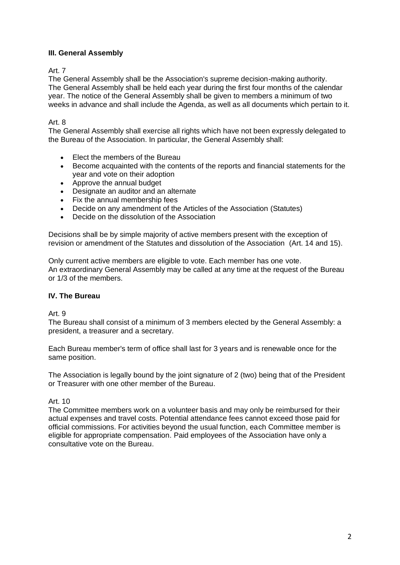# **III. General Assembly**

# Art. 7

The General Assembly shall be the Association's supreme decision-making authority. The General Assembly shall be held each year during the first four months of the calendar year. The notice of the General Assembly shall be given to members a minimum of two weeks in advance and shall include the Agenda, as well as all documents which pertain to it.

# Art<sub>8</sub>

The General Assembly shall exercise all rights which have not been expressly delegated to the Bureau of the Association. In particular, the General Assembly shall:

- Elect the members of the Bureau
- Become acquainted with the contents of the reports and financial statements for the year and vote on their adoption
- Approve the annual budget
- Designate an auditor and an alternate
- Fix the annual membership fees
- Decide on any amendment of the Articles of the Association (Statutes)
- Decide on the dissolution of the Association

Decisions shall be by simple majority of active members present with the exception of revision or amendment of the Statutes and dissolution of the Association (Art. 14 and 15).

Only current active members are eligible to vote. Each member has one vote. An extraordinary General Assembly may be called at any time at the request of the Bureau or 1/3 of the members.

# **IV. The Bureau**

#### Art. 9

The Bureau shall consist of a minimum of 3 members elected by the General Assembly: a president, a treasurer and a secretary.

Each Bureau member's term of office shall last for 3 years and is renewable once for the same position.

The Association is legally bound by the joint signature of 2 (two) being that of the President or Treasurer with one other member of the Bureau.

# Art. 10

The Committee members work on a volunteer basis and may only be reimbursed for their actual expenses and travel costs. Potential attendance fees cannot exceed those paid for official commissions. For activities beyond the usual function, each Committee member is eligible for appropriate compensation. Paid employees of the Association have only a consultative vote on the Bureau.